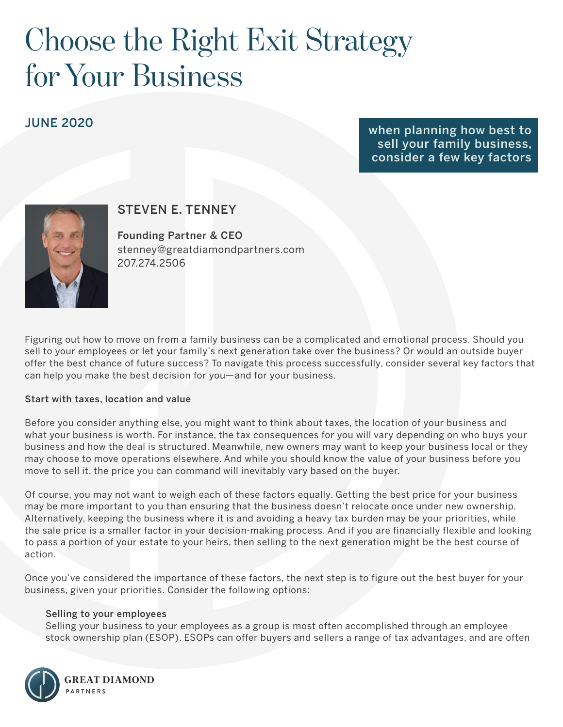# Choose the Right Exit Strategy for Your Business

## JUNE 2020

when planning how best to sell your family business, consider a few key factors



## STEVEN E. TENNEY

Founding Partner & CEO stenney@greatdiamondpartners.com 207.274.2506

Figuring out how to move on from a family business can be a complicated and emotional process. Should you sell to your employees or let your family's next generation take over the business? Or would an outside buyer offer the best chance of future success? To navigate this process successfully, consider several key factors that can help you make the best decision for you—and for your business.

#### Start with taxes, location and value

Before you consider anything else, you might want to think about taxes, the location of your business and what your business is worth. For instance, the tax consequences for you will vary depending on who buys your business and how the deal is structured. Meanwhile, new owners may want to keep your business local or they may choose to move operations elsewhere. And while you should know the value of your business before you move to sell it, the price you can command will inevitably vary based on the buyer.

Of course, you may not want to weigh each of these factors equally. Getting the best price for your business may be more important to you than ensuring that the business doesn't relocate once under new ownership. Alternatively, keeping the business where it is and avoiding a heavy tax burden may be your priorities, while the sale price is a smaller factor in your decision-making process. And if you are financially flexible and looking to pass a portion of your estate to your heirs, then selling to the next generation might be the best course of action.

Once you've considered the importance of these factors, the next step is to figure out the best buyer for your business, given your priorities. Consider the following options:

#### Selling to your employees

Selling your business to your employees as a group is most often accomplished through an employee stock ownership plan (ESOP). ESOPs can offer buyers and sellers a range of tax advantages, and are often